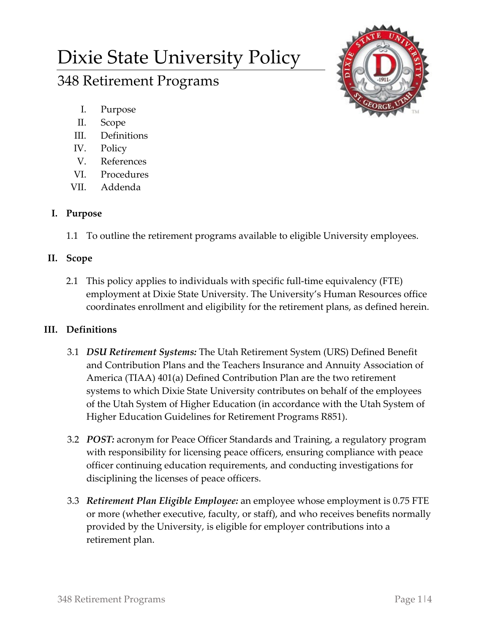# Dixie State University Policy

# 348 Retirement Programs

- I. Purpose
- II. Scope
- III. Definitions
- IV. Policy
- V. References
- VI. Procedures
- VII. Addenda

# **I. Purpose**

1.1 To outline the retirement programs available to eligible University employees.

### **II. Scope**

2.1 This policy applies to individuals with specific full-time equivalency (FTE) employment at Dixie State University. The University's Human Resources office coordinates enrollment and eligibility for the retirement plans, as defined herein.

# **III. Definitions**

- 3.1 *DSU Retirement Systems:* The Utah Retirement System (URS) Defined Benefit and Contribution Plans and the Teachers Insurance and Annuity Association of America (TIAA) 401(a) Defined Contribution Plan are the two retirement systems to which Dixie State University contributes on behalf of the employees of the Utah System of Higher Education (in accordance with the Utah System of Higher Education Guidelines for Retirement Programs R851).
- 3.2 *POST:* acronym for Peace Officer Standards and Training, a regulatory program with responsibility for licensing peace officers, ensuring compliance with peace officer continuing education requirements, and conducting investigations for disciplining the licenses of peace officers.
- 3.3 *Retirement Plan Eligible Employee:* an employee whose employment is 0.75 FTE or more (whether executive, faculty, or staff), and who receives benefits normally provided by the University, is eligible for employer contributions into a retirement plan.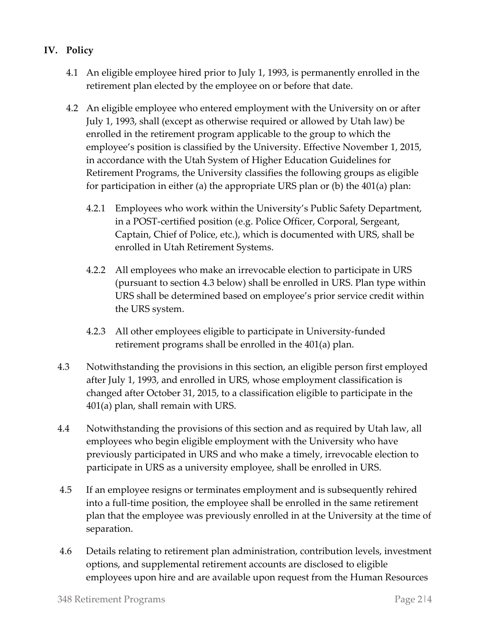- **IV. Policy**
	- 4.1 An eligible employee hired prior to July 1, 1993, is permanently enrolled in the retirement plan elected by the employee on or before that date.
	- 4.2 An eligible employee who entered employment with the University on or after July 1, 1993, shall (except as otherwise required or allowed by Utah law) be enrolled in the retirement program applicable to the group to which the employee's position is classified by the University. Effective November 1, 2015, in accordance with the Utah System of Higher Education Guidelines for Retirement Programs, the University classifies the following groups as eligible for participation in either (a) the appropriate URS plan or (b) the 401(a) plan:
		- 4.2.1 Employees who work within the University's Public Safety Department, in a POST-certified position (e.g. Police Officer, Corporal, Sergeant, Captain, Chief of Police, etc.), which is documented with URS, shall be enrolled in Utah Retirement Systems.
		- 4.2.2 All employees who make an irrevocable election to participate in URS (pursuant to section 4.3 below) shall be enrolled in URS. Plan type within URS shall be determined based on employee's prior service credit within the URS system.
		- 4.2.3 All other employees eligible to participate in University-funded retirement programs shall be enrolled in the 401(a) plan.
	- 4.3 Notwithstanding the provisions in this section, an eligible person first employed after July 1, 1993, and enrolled in URS, whose employment classification is changed after October 31, 2015, to a classification eligible to participate in the 401(a) plan, shall remain with URS.
	- 4.4 Notwithstanding the provisions of this section and as required by Utah law, all employees who begin eligible employment with the University who have previously participated in URS and who make a timely, irrevocable election to participate in URS as a university employee, shall be enrolled in URS.
	- 4.5 If an employee resigns or terminates employment and is subsequently rehired into a full-time position, the employee shall be enrolled in the same retirement plan that the employee was previously enrolled in at the University at the time of separation.
	- 4.6 Details relating to retirement plan administration, contribution levels, investment options, and supplemental retirement accounts are disclosed to eligible employees upon hire and are available upon request from the Human Resources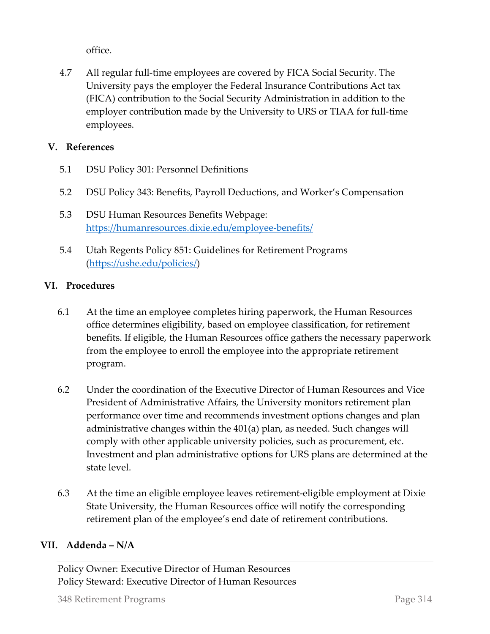office.

4.7 All regular full-time employees are covered by FICA Social Security. The University pays the employer the Federal Insurance Contributions Act tax (FICA) contribution to the Social Security Administration in addition to the employer contribution made by the University to URS or TIAA for full-time employees.

#### **V. References**

- 5.1 DSU Policy 301: Personnel Definitions
- 5.2 DSU Policy 343: Benefits, Payroll Deductions, and Worker's Compensation
- 5.3 DSU Human Resources Benefits Webpage: <https://humanresources.dixie.edu/employee-benefits/>
- 5.4 Utah Regents Policy 851: Guidelines for Retirement Programs [\(https://ushe.edu/policies/\)](https://ushe.edu/policies/)

#### **VI. Procedures**

- 6.1 At the time an employee completes hiring paperwork, the Human Resources office determines eligibility, based on employee classification, for retirement benefits. If eligible, the Human Resources office gathers the necessary paperwork from the employee to enroll the employee into the appropriate retirement program.
- 6.2 Under the coordination of the Executive Director of Human Resources and Vice President of Administrative Affairs, the University monitors retirement plan performance over time and recommends investment options changes and plan administrative changes within the 401(a) plan, as needed. Such changes will comply with other applicable university policies, such as procurement, etc. Investment and plan administrative options for URS plans are determined at the state level.
- 6.3 At the time an eligible employee leaves retirement-eligible employment at Dixie State University, the Human Resources office will notify the corresponding retirement plan of the employee's end date of retirement contributions.

#### **VII. Addenda – N/A**

Policy Owner: Executive Director of Human Resources Policy Steward: Executive Director of Human Resources